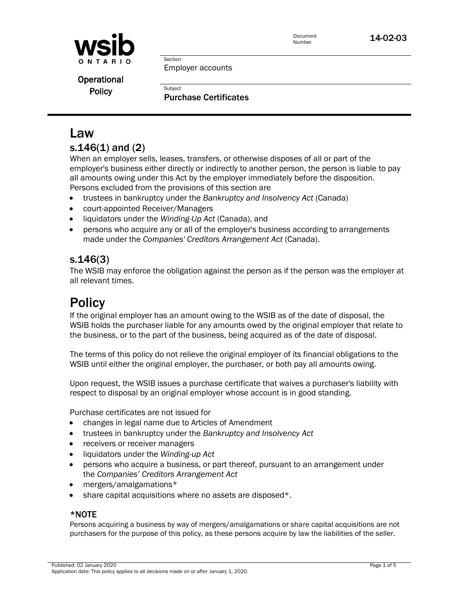

Document

Document **14-02-03** 

Employer accounts

Section

Subject

**Operational Policy** 

Purchase Certificates

# Law

## s.146(1) and (2)

When an employer sells, leases, transfers, or otherwise disposes of all or part of the employer's business either directly or indirectly to another person, the person is liable to pay all amounts owing under this Act by the employer immediately before the disposition. Persons excluded from the provisions of this section are

- trustees in bankruptcy under the *Bankruptcy and Insolvency Act* (Canada)
- court-appointed Receiver/Managers
- liquidators under the *Winding-Up Act* (Canada), and
- persons who acquire any or all of the employer's business according to arrangements made under the *Companies' Creditors Arrangement Act* (Canada).

# s.146(3)

The WSIB may enforce the obligation against the person as if the person was the employer at all relevant times.

# **Policy**

If the original employer has an amount owing to the WSIB as of the date of disposal, the WSIB holds the purchaser liable for any amounts owed by the original employer that relate to the business, or to the part of the business, being acquired as of the date of disposal.

The terms of this policy do not relieve the original employer of its financial obligations to the WSIB until either the original employer, the purchaser, or both pay all amounts owing.

Upon request, the WSIB issues a purchase certificate that waives a purchaser's liability with respect to disposal by an original employer whose account is in good standing.

Purchase certificates are not issued for

- changes in legal name due to Articles of Amendment
- trustees in bankruptcy under the *Bankruptcy and Insolvency Act*
- receivers or receiver managers
- liquidators under the *Winding-up Act*
- persons who acquire a business, or part thereof, pursuant to an arrangement under the *Companies' Creditors Arrangement Act*
- mergers/amalgamations\*
- share capital acquisitions where no assets are disposed\*.

#### \*NOTE

Persons acquiring a business by way of mergers/amalgamations or share capital acquisitions are not purchasers for the purpose of this policy, as these persons acquire by law the liabilities of the seller.

Published: 02 January 2020 Page 1 of 5 Application date: This policy applies to all decisions made on or after January 1, 2020.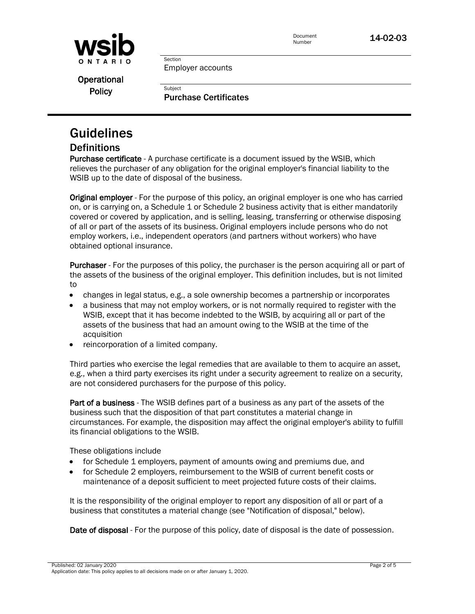



Employer accounts

Section

**Subject** 

**Operational Policy** 

Purchase Certificates

# Guidelines

## **Definitions**

Purchase certificate - A purchase certificate is a document issued by the WSIB, which relieves the purchaser of any obligation for the original employer's financial liability to the WSIB up to the date of disposal of the business.

**Original employer** - For the purpose of this policy, an original employer is one who has carried on, or is carrying on, a Schedule 1 or Schedule 2 business activity that is either mandatorily covered or covered by application, and is selling, leasing, transferring or otherwise disposing of all or part of the assets of its business. Original employers include persons who do not employ workers, i.e., independent operators (and partners without workers) who have obtained optional insurance.

Purchaser - For the purposes of this policy, the purchaser is the person acquiring all or part of the assets of the business of the original employer. This definition includes, but is not limited to

- changes in legal status, e.g., a sole ownership becomes a partnership or incorporates
- a business that may not employ workers, or is not normally required to register with the WSIB, except that it has become indebted to the WSIB, by acquiring all or part of the assets of the business that had an amount owing to the WSIB at the time of the acquisition
- reincorporation of a limited company.

Third parties who exercise the legal remedies that are available to them to acquire an asset, e.g., when a third party exercises its right under a security agreement to realize on a security, are not considered purchasers for the purpose of this policy.

Part of a business - The WSIB defines part of a business as any part of the assets of the business such that the disposition of that part constitutes a material change in circumstances. For example, the disposition may affect the original employer's ability to fulfill its financial obligations to the WSIB.

These obligations include

- for Schedule 1 employers, payment of amounts owing and premiums due, and
- for Schedule 2 employers, reimbursement to the WSIB of current benefit costs or maintenance of a deposit sufficient to meet projected future costs of their claims.

It is the responsibility of the original employer to report any disposition of all or part of a business that constitutes a material change (see "Notification of disposal," below).

Date of disposal - For the purpose of this policy, date of disposal is the date of possession.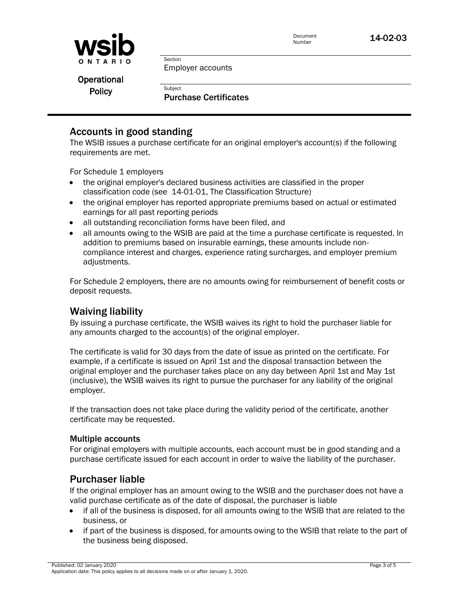

Document

**Operational Policy** 

Employer accounts

Section

**Subject** 

Purchase Certificates

## Accounts in good standing

The WSIB issues a purchase certificate for an original employer's account(s) if the following requirements are met.

For Schedule 1 employers

- the original employer's declared business activities are classified in the proper classification code (see 14-01-01, The Classification Structure)
- the original employer has reported appropriate premiums based on actual or estimated earnings for all past reporting periods
- all outstanding reconciliation forms have been filed, and
- all amounts owing to the WSIB are paid at the time a purchase certificate is requested. In addition to premiums based on insurable earnings, these amounts include noncompliance interest and charges, experience rating surcharges, and employer premium adjustments.

For Schedule 2 employers, there are no amounts owing for reimbursement of benefit costs or deposit requests.

## Waiving liability

By issuing a purchase certificate, the WSIB waives its right to hold the purchaser liable for any amounts charged to the account(s) of the original employer.

The certificate is valid for 30 days from the date of issue as printed on the certificate. For example, if a certificate is issued on April 1st and the disposal transaction between the original employer and the purchaser takes place on any day between April 1st and May 1st (inclusive), the WSIB waives its right to pursue the purchaser for any liability of the original employer.

If the transaction does not take place during the validity period of the certificate, another certificate may be requested.

#### Multiple accounts

For original employers with multiple accounts, each account must be in good standing and a purchase certificate issued for each account in order to waive the liability of the purchaser.

## Purchaser liable

If the original employer has an amount owing to the WSIB and the purchaser does not have a valid purchase certificate as of the date of disposal, the purchaser is liable

- if all of the business is disposed, for all amounts owing to the WSIB that are related to the business, or
- if part of the business is disposed, for amounts owing to the WSIB that relate to the part of the business being disposed.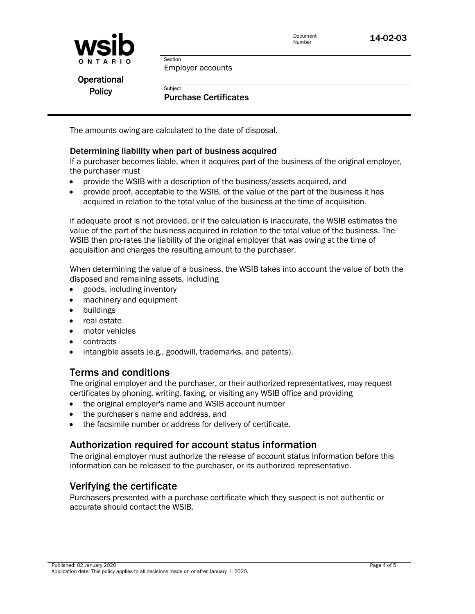



Employer accounts

**Operational Policy** 

#### Purchase Certificates

The amounts owing are calculated to the date of disposal.

Section

**Subject** 

#### Determining liability when part of business acquired

If a purchaser becomes liable, when it acquires part of the business of the original employer, the purchaser must

- provide the WSIB with a description of the business/assets acquired, and
- provide proof, acceptable to the WSIB, of the value of the part of the business it has acquired in relation to the total value of the business at the time of acquisition.

If adequate proof is not provided, or if the calculation is inaccurate, the WSIB estimates the value of the part of the business acquired in relation to the total value of the business. The WSIB then pro-rates the liability of the original employer that was owing at the time of acquisition and charges the resulting amount to the purchaser.

When determining the value of a business, the WSIB takes into account the value of both the disposed and remaining assets, including

- goods, including inventory
- machinery and equipment
- buildings
- real estate
- motor vehicles
- contracts
- intangible assets (e.g., goodwill, trademarks, and patents).

#### Terms and conditions

The original employer and the purchaser, or their authorized representatives, may request certificates by phoning, writing, faxing, or visiting any WSIB office and providing

- the original employer's name and WSIB account number
- the purchaser's name and address, and
- the facsimile number or address for delivery of certificate.

#### Authorization required for account status information

The original employer must authorize the release of account status information before this information can be released to the purchaser, or its authorized representative.

#### Verifying the certificate

Purchasers presented with a purchase certificate which they suspect is not authentic or accurate should contact the WSIB.